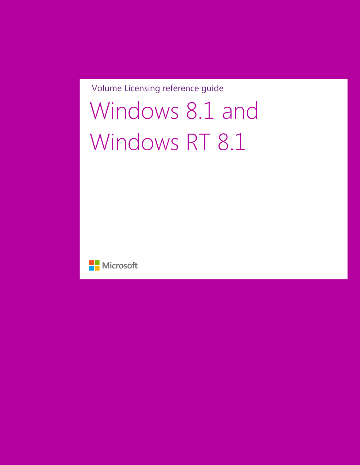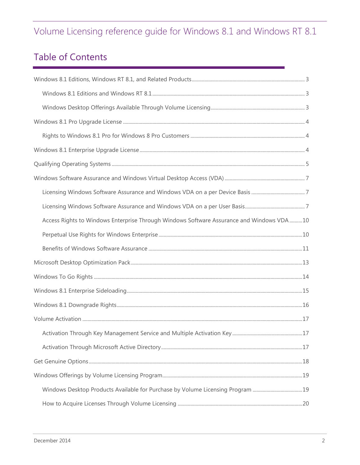# Table of Contents

| Access Rights to Windows Enterprise Through Windows Software Assurance and Windows VDA 10 |  |
|-------------------------------------------------------------------------------------------|--|
|                                                                                           |  |
|                                                                                           |  |
|                                                                                           |  |
|                                                                                           |  |
|                                                                                           |  |
|                                                                                           |  |
|                                                                                           |  |
|                                                                                           |  |
|                                                                                           |  |
|                                                                                           |  |
|                                                                                           |  |
| Windows Desktop Products Available for Purchase by Volume Licensing Program 19            |  |
|                                                                                           |  |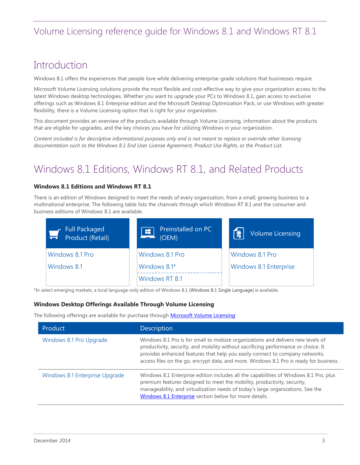### **Introduction**

Windows 8.1 offers the experiences that people love while delivering enterprise-grade solutions that businesses require.

Microsoft Volume Licensing solutions provide the most flexible and cost-effective way to give your organization access to the latest Windows desktop technologies. Whether you want to upgrade your PCs to Windows 8.1, gain access to exclusive offerings such as Windows 8.1 Enterprise edition and the Microsoft Desktop Optimization Pack, or use Windows with greater flexibility, there is a Volume Licensing option that is right for your organization.

This document provides an overview of the products available through Volume Licensing, information about the products that are eligible for upgrades, and the key choices you have for utilizing Windows in your organization.

*Content included is for descriptive informational purposes only and is not meant to replace or override other licensing documentation such as the Windows 8.1 End User License Agreement, Product Use Rights, or the Product List.*

# <span id="page-2-0"></span>Windows 8.1 Editions, Windows RT 8.1, and Related Products

#### <span id="page-2-1"></span>**Windows 8.1 Editions and Windows RT 8.1**

There is an edition of Windows designed to meet the needs of every organization, from a small, growing business to a multinational enterprise. The following table lists the channels through which Windows RT 8.1 and the consumer and business editions of Windows 8.1 are available.

| <b>Full Packaged</b><br>Product (Retail) | Preinstalled on PC<br>픗<br>(OEM) | [ଛୁ<br><b>Volume Licensing</b> |
|------------------------------------------|----------------------------------|--------------------------------|
| Windows 8.1 Pro                          | Windows 8.1 Pro                  | Windows 8.1 Pro                |
| Windows 8.1                              | Windows 8.1*                     | Windows 8.1 Enterprise         |
|                                          | Windows RT 8.1                   |                                |

\*In select emerging markets, a local language-only edition of Windows 8.1 (Windows 8.1 Single Language) is available.

#### <span id="page-2-2"></span>**Windows Desktop Offerings Available Through Volume Licensing**

The following offerings are available for purchase through [Microsoft Volume Licensing:](http://www.microsoft.com/licensing)

| Product                        | <b>Description</b>                                                                                                                                                                                                                                                                                                                               |
|--------------------------------|--------------------------------------------------------------------------------------------------------------------------------------------------------------------------------------------------------------------------------------------------------------------------------------------------------------------------------------------------|
| Windows 8.1 Pro Upgrade        | Windows 8.1 Pro is for small to midsize organizations and delivers new levels of<br>productivity, security, and mobility without sacrificing performance or choice. It<br>provides enhanced features that help you easily connect to company networks,<br>access files on the go, encrypt data, and more. Windows 8.1 Pro is ready for business. |
| Windows 8.1 Enterprise Upgrade | Windows 8.1 Enterprise edition includes all the capabilities of Windows 8.1 Pro, plus<br>premium features designed to meet the mobility, productivity, security,<br>manageability, and virtualization needs of today's large organizations. See the<br>Windows 8.1 Enterprise section below for more details.                                    |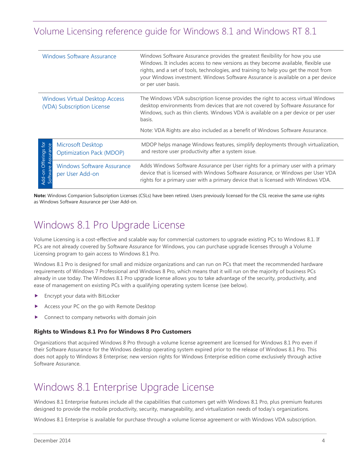|                                      | <b>Windows Software Assurance</b>                                   | Windows Software Assurance provides the greatest flexibility for how you use<br>Windows. It includes access to new versions as they become available, flexible use<br>rights, and a set of tools, technologies, and training to help you get the most from<br>your Windows investment. Windows Software Assurance is available on a per device<br>or per user basis. |
|--------------------------------------|---------------------------------------------------------------------|----------------------------------------------------------------------------------------------------------------------------------------------------------------------------------------------------------------------------------------------------------------------------------------------------------------------------------------------------------------------|
|                                      | <b>Windows Virtual Desktop Access</b><br>(VDA) Subscription License | The Windows VDA subscription license provides the right to access virtual Windows<br>desktop environments from devices that are not covered by Software Assurance for<br>Windows, such as thin clients. Windows VDA is available on a per device or per user<br>basis.<br>Note: VDA Rights are also included as a benefit of Windows Software Assurance.             |
| $\overline{6}$                       | Microsoft Desktop<br><b>Optimization Pack (MDOP)</b>                | MDOP helps manage Windows features, simplify deployments through virtualization,<br>and restore user productivity after a system issue.                                                                                                                                                                                                                              |
| Add-on Offerings<br>Software Assuran | <b>Windows Software Assurance</b><br>per User Add-on                | Adds Windows Software Assurance per User rights for a primary user with a primary<br>device that is licensed with Windows Software Assurance, or Windows per User VDA<br>rights for a primary user with a primary device that is licensed with Windows VDA.                                                                                                          |

**Note:** Windows Companion Subscription Licenses (CSLs) have been retired. Users previously licensed for the CSL receive the same use rights as Windows Software Assurance per User Add-on.

### <span id="page-3-0"></span>Windows 8.1 Pro Upgrade License

Volume Licensing is a cost-effective and scalable way for commercial customers to upgrade existing PCs to Windows 8.1. If PCs are not already covered by Software Assurance for Windows, you can purchase upgrade licenses through a Volume Licensing program to gain access to Windows 8.1 Pro.

Windows 8.1 Pro is designed for small and midsize organizations and can run on PCs that meet the recommended hardware requirements of Windows 7 Professional and Windows 8 Pro, which means that it will run on the majority of business PCs already in use today. The Windows 8.1 Pro upgrade license allows you to take advantage of the security, productivity, and ease of management on existing PCs with a qualifying operating system license (see below).

- Encrypt your data with BitLocker
- Access your PC on the go with Remote Desktop
- Connect to company networks with domain join

#### <span id="page-3-1"></span>**Rights to Windows 8.1 Pro for Windows 8 Pro Customers**

Organizations that acquired Windows 8 Pro through a volume license agreement are licensed for Windows 8.1 Pro even if their Software Assurance for the Windows desktop operating system expired prior to the release of Windows 8.1 Pro. This does not apply to Windows 8 Enterprise; new version rights for Windows Enterprise edition come exclusively through active Software Assurance.

# <span id="page-3-3"></span><span id="page-3-2"></span>Windows 8.1 Enterprise Upgrade License

Windows 8.1 Enterprise features include all the capabilities that customers get with Windows 8.1 Pro, plus premium features designed to provide the mobile productivity, security, manageability, and virtualization needs of today's organizations.

Windows 8.1 Enterprise is available for purchase through a volume license agreement or with Windows VDA subscription.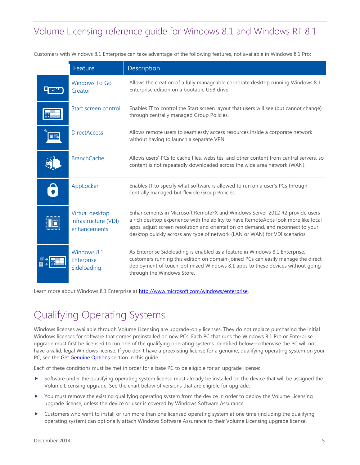Customers with Windows 8.1 Enterprise can take advantage of the following features, not available in Windows 8.1 Pro:

|   | Feature                                                 | Description                                                                                                                                                                                                                                                                                                                        |
|---|---------------------------------------------------------|------------------------------------------------------------------------------------------------------------------------------------------------------------------------------------------------------------------------------------------------------------------------------------------------------------------------------------|
|   | <b>Windows To Go</b><br>Creator                         | Allows the creation of a fully manageable corporate desktop running Windows 8.1<br>Enterprise edition on a bootable USB drive.                                                                                                                                                                                                     |
|   | Start screen control                                    | Enables IT to control the Start screen layout that users will see (but cannot change)<br>through centrally managed Group Policies.                                                                                                                                                                                                 |
|   | <b>DirectAccess</b>                                     | Allows remote users to seamlessly access resources inside a corporate network<br>without having to launch a separate VPN.                                                                                                                                                                                                          |
|   | <b>BranchCache</b>                                      | Allows users' PCs to cache files, websites, and other content from central servers, so<br>content is not repeatedly downloaded across the wide area network (WAN).                                                                                                                                                                 |
| 8 | AppLocker                                               | Enables IT to specify what software is allowed to run on a user's PCs through<br>centrally managed but flexible Group Policies.                                                                                                                                                                                                    |
|   | Virtual desktop<br>infrastructure (VDI)<br>enhancements | Enhancements in Microsoft RemoteFX and Windows Server 2012 R2 provide users<br>a rich desktop experience with the ability to have RemoteApps look more like local<br>apps, adjust screen resolution and orientation on demand, and reconnect to your<br>desktop quickly across any type of network (LAN or WAN) for VDI scenarios. |
|   | Windows 81<br>Enterprise<br>Sideloading                 | As Enterprise Sideloading is enabled as a feature in Windows 8.1 Enterprise,<br>customers running this edition on domain-joined PCs can easily manage the direct<br>deployment of touch-optimized Windows 8.1 apps to these devices without going<br>through the Windows Store.                                                    |

<span id="page-4-0"></span>Learn more about Windows 8.1 Enterprise at [http://www.microsoft.com/windows/enterprise.](http://www.microsoft.com/windows/enterprise)

# Qualifying Operating Systems

Windows licenses available through Volume Licensing are upgrade-only licenses. They do not replace purchasing the initial Windows licenses for software that comes preinstalled on new PCs. Each PC that runs the Windows 8.1 Pro or Enterprise upgrade must first be licensed to run one of the qualifying operating systems identified below—otherwise the PC will not have a valid, legal Windows license. If you don't have a preexisting license for a genuine, qualifying operating system on your PC, see the **Get Genuine Options** section in this guide.

Each of these conditions must be met in order for a base PC to be eligible for an upgrade license:

- $\triangleright$  Software under the qualifying operating system license must already be installed on the device that will be assigned the Volume Licensing upgrade. See the chart below of versions that are eligible for upgrade.
- You must remove the existing qualifying operating system from the device in order to deploy the Volume Licensing upgrade license, unless the device or user is covered by Windows Software Assurance.
- Customers who want to install or run more than one licensed operating system at one time (including the qualifying operating system) can optionally attach Windows Software Assurance to their Volume Licensing upgrade license.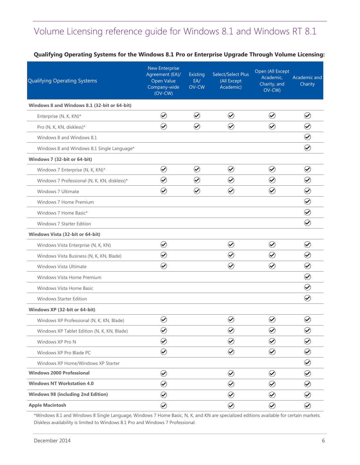### **Qualifying Operating Systems for the Windows 8.1 Pro or Enterprise Upgrade Through Volume Licensing:**

| Qualifying Operating Systems                 | <b>New Enterprise</b><br>Agreement (EA)/<br>Open Value<br>Company-wide<br>$(OV-CW)$ | Existing<br>EA/<br>OV-CW | Select/Select Plus<br>(All Except<br>Academic) | Open (All Except<br>Academic,<br>Charity, and<br>OV-CW) | Academic and<br>Charity |
|----------------------------------------------|-------------------------------------------------------------------------------------|--------------------------|------------------------------------------------|---------------------------------------------------------|-------------------------|
| Windows 8 and Windows 8.1 (32-bit or 64-bit) |                                                                                     |                          |                                                |                                                         |                         |
| Enterprise (N, K, KN)*                       | $\odot$                                                                             | $\odot$                  | $\odot$                                        | $\odot$                                                 | $\bigcirc$              |
| Pro (N, K, KN, diskless)*                    | $\bigcirc$                                                                          | $\bigcirc$               | $\bigcirc$                                     | $\odot$                                                 | $\bigcirc$              |
| Windows 8 and Windows 8.1                    |                                                                                     |                          |                                                |                                                         | $\bigcirc$              |
| Windows 8 and Windows 8.1 Single Language*   |                                                                                     |                          |                                                |                                                         | $\bigcirc$              |
| Windows 7 (32-bit or 64-bit)                 |                                                                                     |                          |                                                |                                                         |                         |
| Windows 7 Enterprise (N, K, KN)*             | $\bigcirc$                                                                          | $\bigcirc$               | $\bigcirc$                                     | $\bigcirc$                                              | $\bigcirc$              |
| Windows 7 Professional (N, K, KN, diskless)* | $\bigcirc$                                                                          | $\bigcirc$               | $\bigcirc$                                     | $\bigcirc$                                              | $\bigcirc$              |
| Windows 7 Ultimate                           | $\bigcirc$                                                                          | $\bigcirc$               | $\odot$                                        | $\bigcirc$                                              | $\bigcirc$              |
| Windows 7 Home Premium                       |                                                                                     |                          |                                                |                                                         | $\bigcirc$              |
| Windows 7 Home Basic*                        |                                                                                     |                          |                                                |                                                         | $\bigcirc$              |
| <b>Windows 7 Starter Edition</b>             |                                                                                     |                          |                                                |                                                         | $\odot$                 |
| Windows Vista (32-bit or 64-bit)             |                                                                                     |                          |                                                |                                                         |                         |
| Windows Vista Enterprise (N, K, KN)          | $\bigcirc$                                                                          |                          | $\bigcirc$                                     | $\bigcirc$                                              | $\bigcirc$              |
| Windows Vista Business (N, K, KN, Blade)     | $\bigcirc$                                                                          |                          | $\bigcirc$                                     | $\bigcirc$                                              | $\bigcirc$              |
| Windows Vista Ultimate                       | $\bigcirc$                                                                          |                          | $\bigcirc$                                     | $\bigcirc$                                              | $\odot$                 |
| Windows Vista Home Premium                   |                                                                                     |                          |                                                |                                                         | $\bigcirc$              |
| <b>Windows Vista Home Basic</b>              |                                                                                     |                          |                                                |                                                         | $\bigcirc$              |
| <b>Windows Starter Edition</b>               |                                                                                     |                          |                                                |                                                         | $\bigcirc$              |
| Windows XP (32-bit or 64-bit)                |                                                                                     |                          |                                                |                                                         |                         |
| Windows XP Professional (N, K, KN, Blade)    | $\bigcirc$                                                                          |                          | $\bigcirc$                                     | $\small \textcolor{blue}{\oslash}$                      | $\bigcirc$              |
| Windows XP Tablet Edition (N, K, KN, Blade)  | $\bigcirc$                                                                          |                          | $\bigcirc$                                     | $\bigcirc$                                              | $\bigcirc$              |
| Windows XP Pro N                             | $\bigcirc$                                                                          |                          | $\bigcirc$                                     | $\bigcirc$                                              | $\bigcirc$              |
| Windows XP Pro Blade PC                      | $\bigcirc$                                                                          |                          | $\bigcirc$                                     | $\bigcirc$                                              | $\bigcirc$              |
| Windows XP Home/Windows XP Starter           |                                                                                     |                          |                                                |                                                         | $\bigodot$              |
| <b>Windows 2000 Professional</b>             | $\bigcirc$                                                                          |                          | $\bigcirc$                                     | $\bigcirc$                                              | $\bigcirc$              |
| <b>Windows NT Workstation 4.0</b>            | $\bigcirc$                                                                          |                          | $\bigcirc$                                     | $\bigcirc$                                              | $\bigcirc$              |
| <b>Windows 98 (including 2nd Edition)</b>    | $\bigcirc$                                                                          |                          | $\bigcirc$                                     | $\bigcirc$                                              | $\bigcirc$              |
| <b>Apple Macintosh</b>                       | $\bigcirc$                                                                          |                          | $\bigcirc$                                     | $\bigcirc$                                              | $\bigcirc$              |

\*Windows 8.1 and Windows 8 Single Language, Windows 7 Home Basic, N, K, and KN are specialized editions available for certain markets. Diskless availability is limited to Windows 8.1 Pro and Windows 7 Professional.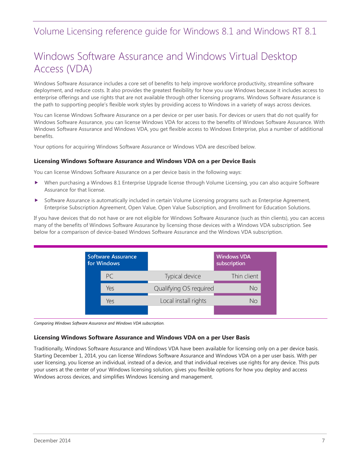### <span id="page-6-0"></span>Windows Software Assurance and Windows Virtual Desktop Access (VDA)

Windows Software Assurance includes a core set of benefits to help improve workforce productivity, streamline software deployment, and reduce costs. It also provides the greatest flexibility for how you use Windows because it includes access to enterprise offerings and use rights that are not available through other licensing programs. Windows Software Assurance is the path to supporting people's flexible work styles by providing access to Windows in a variety of ways across devices.

You can license Windows Software Assurance on a per device or per user basis. For devices or users that do not qualify for Windows Software Assurance, you can license Windows VDA for access to the benefits of Windows Software Assurance. With Windows Software Assurance and Windows VDA, you get flexible access to Windows Enterprise, plus a number of additional benefits.

Your options for acquiring Windows Software Assurance or Windows VDA are described below.

#### <span id="page-6-1"></span>**Licensing Windows Software Assurance and Windows VDA on a per Device Basis**

You can license Windows Software Assurance on a per device basis in the following ways:

- When purchasing a Windows 8.1 Enterprise Upgrade license through Volume Licensing, you can also acquire Software Assurance for that license.
- Software Assurance is automatically included in certain Volume Licensing programs such as Enterprise Agreement, Enterprise Subscription Agreement, Open Value, Open Value Subscription, and Enrollment for Education Solutions.

If you have devices that do not have or are not eligible for Windows Software Assurance (such as thin clients), you can access many of the benefits of Windows Software Assurance by licensing those devices with a Windows VDA subscription. See below for a comparison of device-based Windows Software Assurance and the Windows VDA subscription.



<span id="page-6-2"></span>*Comparing Windows Software Assurance and Windows VDA subscription.*

#### **Licensing Windows Software Assurance and Windows VDA on a per User Basis**

Traditionally, Windows Software Assurance and Windows VDA have been available for licensing only on a per device basis. Starting December 1, 2014, you can license Windows Software Assurance and Windows VDA on a per user basis. With per user licensing, you license an individual, instead of a device, and that individual receives use rights for any device. This puts your users at the center of your Windows licensing solution, gives you flexible options for how you deploy and access Windows across devices, and simplifies Windows licensing and management.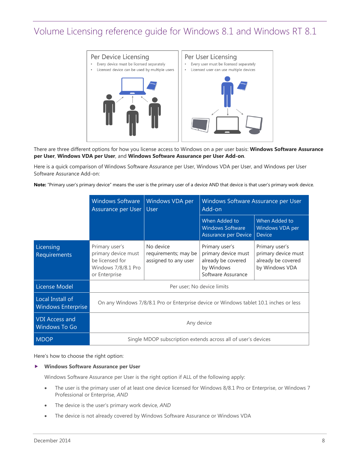

There are three different options for how you license access to Windows on a per user basis: **Windows Software Assurance per User**, **Windows VDA per User**, and **Windows Software Assurance per User Add-on**.

Here is a quick comparison of Windows Software Assurance per User, Windows VDA per User, and Windows per User Software Assurance Add-on:

**Note:** "Primary user's primary device" means the user is the primary user of a device AND that device is that user's primary work device.

|                                               | <b>Windows Software</b><br>Assurance per User   User                                             | <b>Windows VDA per</b>                                        | Windows Software Assurance per User<br>Add-on                                                   |                                                                               |
|-----------------------------------------------|--------------------------------------------------------------------------------------------------|---------------------------------------------------------------|-------------------------------------------------------------------------------------------------|-------------------------------------------------------------------------------|
|                                               |                                                                                                  |                                                               | When Added to<br><b>Windows Software</b><br>Assurance per Device                                | When Added to<br>Windows VDA per<br><b>Device</b>                             |
| Licensing<br>Requirements                     | Primary user's<br>primary device must<br>be licensed for<br>Windows 7/8/8.1 Pro<br>or Enterprise | No device<br>requirements; may be<br>assigned to any user     | Primary user's<br>primary device must<br>already be covered<br>by Windows<br>Software Assurance | Primary user's<br>primary device must<br>already be covered<br>by Windows VDA |
| License Model                                 | Per user; No device limits                                                                       |                                                               |                                                                                                 |                                                                               |
| Local Install of<br><b>Windows Enterprise</b> | On any Windows 7/8/8.1 Pro or Enterprise device or Windows tablet 10.1 inches or less            |                                                               |                                                                                                 |                                                                               |
| <b>VDI Access and</b><br><b>Windows To Go</b> | Any device                                                                                       |                                                               |                                                                                                 |                                                                               |
| <b>MDOP</b>                                   |                                                                                                  | Single MDOP subscription extends across all of user's devices |                                                                                                 |                                                                               |

Here's how to choose the right option:

#### **Windows Software Assurance per User**

Windows Software Assurance per User is the right option if ALL of the following apply:

- The user is the primary user of at least one device licensed for Windows 8/8.1 Pro or Enterprise, or Windows 7 Professional or Enterprise, *AND*
- The device is the user's primary work device, *AND*
- The device is not already covered by Windows Software Assurance or Windows VDA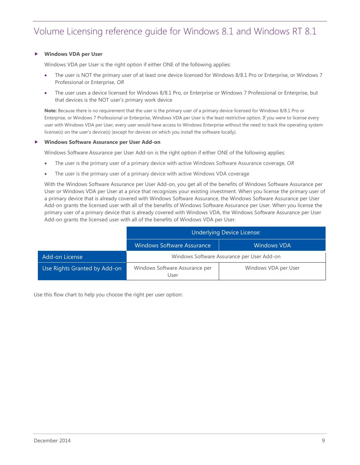#### **Windows VDA per User**

Windows VDA per User is the right option if either ONE of the following applies:

- The user is NOT the primary user of at least one device licensed for Windows 8/8.1 Pro or Enterprise, or Windows 7 Professional or Enterprise, *OR*
- The user uses a device licensed for Windows 8/8.1 Pro, or Enterprise or Windows 7 Professional or Enterprise, but that devices is the NOT user's primary work device

**Note:** Because there is no requirement that the user is the primary user of a primary device licensed for Windows 8/8.1 Pro or Enterprise, or Windows 7 Professional or Enterprise, Windows VDA per User is the least restrictive option. If you were to license every user with Windows VDA per User, every user would have access to Windows Enterprise without the need to track the operating system license(s) on the user's device(s) (except for devices on which you install the software locally).

#### **Windows Software Assurance per User Add-on**

Windows Software Assurance per User Add-on is the right option if either ONE of the following applies:

- The user is the primary user of a primary device with active Windows Software Assurance coverage, *OR*
- The user is the primary user of a primary device with active Windows VDA coverage

With the Windows Software Assurance per User Add-on, you get all of the benefits of Windows Software Assurance per User or Windows VDA per User at a price that recognizes your existing investment. When you license the primary user of a primary device that is already covered with Windows Software Assurance, the Windows Software Assurance per User Add-on grants the licensed user with all of the benefits of Windows Software Assurance per User. When you license the primary user of a primary device that is already covered with Windows VDA, the Windows Software Assurance per User Add-on grants the licensed user with all of the benefits of Windows VDA per User.

|                              | Underlying Device License:                 |                      |  |
|------------------------------|--------------------------------------------|----------------------|--|
|                              | <b>Windows Software Assurance</b>          | <b>Windows VDA</b>   |  |
| Add-on License               | Windows Software Assurance per User Add-on |                      |  |
| Use Rights Granted by Add-on | Windows Software Assurance per<br>User     | Windows VDA per User |  |

Use this flow chart to help you choose the right per user option: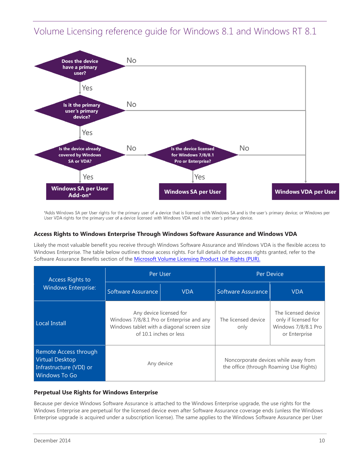

\*Adds Windows SA per User rights for the primary user of a device that is licensed with Windows SA and is the user's primary device; or Windows per User VDA rights for the primary user of a device licensed with Windows VDA and is the user's primary device.

### <span id="page-9-0"></span>**Access Rights to Windows Enterprise Through Windows Software Assurance and Windows VDA**

Likely the most valuable benefit you receive through Windows Software Assurance and Windows VDA is the flexible access to Windows Enterprise. The table below outlines those access rights. For full details of the access rights granted, refer to the Software Assurance Benefits section of the [Microsoft Volume Licensing Product Use Rights \(PUR\).](http://www.microsoft.com/licensing/products/products.aspx#PUR)

<span id="page-9-2"></span>

| <b>Access Rights to</b>                                                                     | Per User                                                                                                                                     |            | Per Device                                                                      |                                                                                     |
|---------------------------------------------------------------------------------------------|----------------------------------------------------------------------------------------------------------------------------------------------|------------|---------------------------------------------------------------------------------|-------------------------------------------------------------------------------------|
| <b>Windows Enterprise:</b>                                                                  | Software Assurance                                                                                                                           | <b>VDA</b> | Software Assurance                                                              | <b>VDA</b>                                                                          |
| <b>Local Install</b>                                                                        | Any device licensed for<br>Windows 7/8/8.1 Pro or Enterprise and any<br>Windows tablet with a diagonal screen size<br>of 10.1 inches or less |            | The licensed device<br>only                                                     | The licensed device<br>only if licensed for<br>Windows 7/8/8.1 Pro<br>or Enterprise |
| Remote Access through<br><b>Virtual Desktop</b><br>Infrastructure (VDI) or<br>Windows To Go | Any device                                                                                                                                   |            | Noncorporate devices while away from<br>the office (through Roaming Use Rights) |                                                                                     |

#### <span id="page-9-1"></span>**Perpetual Use Rights for Windows Enterprise**

Because per device Windows Software Assurance is attached to the Windows Enterprise upgrade, the use rights for the Windows Enterprise are perpetual for the licensed device even after Software Assurance coverage ends (unless the Windows Enterprise upgrade is acquired under a subscription license). The same applies to the Windows Software Assurance per User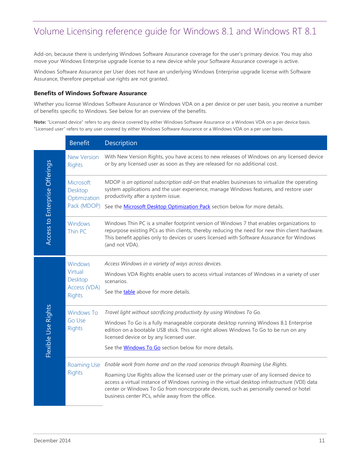Add-on, because there is underlying Windows Software Assurance coverage for the user's primary device. You may also move your Windows Enterprise upgrade license to a new device while your Software Assurance coverage is active.

Windows Software Assurance per User does not have an underlying Windows Enterprise upgrade license with Software Assurance, therefore perpetual use rights are not granted.

#### <span id="page-10-0"></span>**Benefits of Windows Software Assurance**

Whether you license Windows Software Assurance or Windows VDA on a per device or per user basis, you receive a number of benefits specific to Windows. See below for an overview of the benefits.

**Note:** "Licensed device" refers to any device covered by either Windows Software Assurance or a Windows VDA on a per device basis. "Licensed user" refers to any user covered by either Windows Software Assurance or a Windows VDA on a per user basis.

|                                | <b>Benefit</b>                                             | Description                                                                                                                                                                                                                                                                                                                                                                                                          |
|--------------------------------|------------------------------------------------------------|----------------------------------------------------------------------------------------------------------------------------------------------------------------------------------------------------------------------------------------------------------------------------------------------------------------------------------------------------------------------------------------------------------------------|
|                                | <b>New Version</b><br><b>Rights</b>                        | With New Version Rights, you have access to new releases of Windows on any licensed device<br>or by any licensed user as soon as they are released for no additional cost.                                                                                                                                                                                                                                           |
|                                | <b>Microsoft</b><br>Desktop<br>Optimization<br>Pack (MDOP) | MDOP is an optional subscription add-on that enables businesses to virtualize the operating<br>system applications and the user experience, manage Windows features, and restore user<br>productivity after a system issue.<br>See the <b>Microsoft Desktop Optimization Pack</b> section below for more details.                                                                                                    |
| Access to Enterprise Offerings | Windows<br>Thin PC                                         | Windows Thin PC is a smaller footprint version of Windows 7 that enables organizations to<br>repurpose existing PCs as thin clients, thereby reducing the need for new thin client hardware.<br>This benefit applies only to devices or users licensed with Software Assurance for Windows<br>(and not VDA).                                                                                                         |
| Flexible Use Rights            | Windows<br>Virtual<br>Desktop<br>Access (VDA)<br>Rights    | Access Windows in a variety of ways across devices.<br>Windows VDA Rights enable users to access virtual instances of Windows in a variety of user<br>scenarios.<br>See the <b>table</b> above for more details.                                                                                                                                                                                                     |
|                                | <b>Windows To</b><br>Go Use<br><b>Rights</b>               | Travel light without sacrificing productivity by using Windows To Go.<br>Windows To Go is a fully manageable corporate desktop running Windows 8.1 Enterprise<br>edition on a bootable USB stick. This use right allows Windows To Go to be run on any<br>licensed device or by any licensed user.<br>See the <b>Windows To Go</b> section below for more details.                                                   |
|                                | Roaming Use<br>Rights                                      | Enable work from home and on the road scenarios through Roaming Use Rights.<br>Roaming Use Rights allow the licensed user or the primary user of any licensed device to<br>access a virtual instance of Windows running in the virtual desktop infrastructure (VDI) data<br>center or Windows To Go from noncorporate devices, such as personally owned or hotel<br>business center PCs, while away from the office. |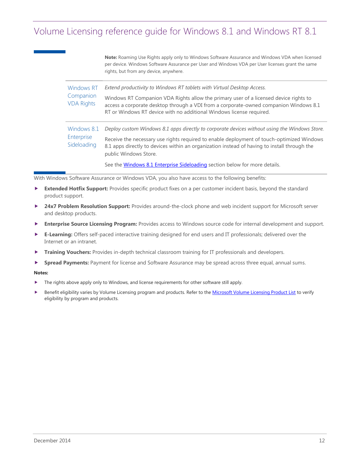**Note:** Roaming Use Rights apply only to Windows Software Assurance and Windows VDA when licensed per device. Windows Software Assurance per User and Windows VDA per User licenses grant the same rights, but from any device, anywhere.

| <b>Windows RT</b><br>Companion<br><b>VDA Rights</b> | Extend productivity to Windows RT tablets with Virtual Desktop Access.<br>Windows RT Companion VDA Rights allow the primary user of a licensed device rights to<br>access a corporate desktop through a VDI from a corporate-owned companion Windows 8.1<br>RT or Windows RT device with no additional Windows license required. |
|-----------------------------------------------------|----------------------------------------------------------------------------------------------------------------------------------------------------------------------------------------------------------------------------------------------------------------------------------------------------------------------------------|
| Windows 8.1<br>Enterprise<br>Sideloading            | Deploy custom Windows 8.1 apps directly to corporate devices without using the Windows Store.<br>Receive the necessary use rights required to enable deployment of touch-optimized Windows<br>8.1 apps directly to devices within an organization instead of having to install through the<br>public Windows Store.              |
|                                                     | See the Windows 8.1 Enterprise Sideloading section below for more details.                                                                                                                                                                                                                                                       |

With Windows Software Assurance or Windows VDA, you also have access to the following benefits:

- **Extended Hotfix Support:** Provides specific product fixes on a per customer incident basis, beyond the standard product support.
- **24x7 Problem Resolution Support:** Provides around-the-clock phone and web incident support for Microsoft server and desktop products.
- **Enterprise Source Licensing Program:** Provides access to Windows source code for internal development and support.
- **E-Learning:** Offers self-paced interactive training designed for end users and IT professionals; delivered over the Internet or an intranet.
- **Training Vouchers:** Provides in-depth technical classroom training for IT professionals and developers.
- **Spread Payments:** Payment for license and Software Assurance may be spread across three equal, annual sums.

#### **Notes:**

- The rights above apply only to Windows, and license requirements for other software still apply.
- Benefit eligibility varies by Volume Licensing program and products. Refer to th[e Microsoft Volume Licensing Product List](http://www.microsoft.com/licensing/about-licensing/product-licensing.aspx#tab=2) to verify eligibility by program and products.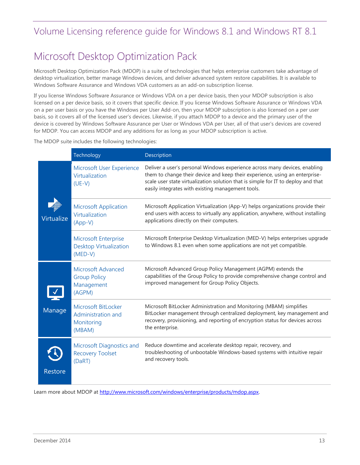# <span id="page-12-1"></span><span id="page-12-0"></span>Microsoft Desktop Optimization Pack

Microsoft Desktop Optimization Pack (MDOP) is a suite of technologies that helps enterprise customers take advantage of desktop virtualization, better manage Windows devices, and deliver advanced system restore capabilities. It is available to Windows Software Assurance and Windows VDA customers as an add-on subscription license.

If you license Windows Software Assurance or Windows VDA on a per device basis, then your MDOP subscription is also licensed on a per device basis, so it covers that specific device. If you license Windows Software Assurance or Windows VDA on a per user basis or you have the Windows per User Add-on, then your MDOP subscription is also licensed on a per user basis, so it covers all of the licensed user's devices. Likewise, if you attach MDOP to a device and the primary user of the device is covered by Windows Software Assurance per User or Windows VDA per User, all of that user's devices are covered for MDOP. You can access MDOP and any additions for as long as your MDOP subscription is active.

The MDOP suite includes the following technologies:

|                | Technology                                                                | Description                                                                                                                                                                                                                                                                                         |
|----------------|---------------------------------------------------------------------------|-----------------------------------------------------------------------------------------------------------------------------------------------------------------------------------------------------------------------------------------------------------------------------------------------------|
|                | Microsoft User Experience<br>Virtualization<br>$(UE-V)$                   | Deliver a user's personal Windows experience across many devices, enabling<br>them to change their device and keep their experience, using an enterprise-<br>scale user state virtualization solution that is simple for IT to deploy and that<br>easily integrates with existing management tools. |
| Virtualize     | <b>Microsoft Application</b><br>Virtualization<br>$(App-V)$               | Microsoft Application Virtualization (App-V) helps organizations provide their<br>end users with access to virtually any application, anywhere, without installing<br>applications directly on their computers.                                                                                     |
|                | <b>Microsoft Enterprise</b><br><b>Desktop Virtualization</b><br>$(MED-V)$ | Microsoft Enterprise Desktop Virtualization (MED-V) helps enterprises upgrade<br>to Windows 8.1 even when some applications are not yet compatible.                                                                                                                                                 |
|                | <b>Microsoft Advanced</b><br><b>Group Policy</b><br>Management<br>(AGPM)  | Microsoft Advanced Group Policy Management (AGPM) extends the<br>capabilities of the Group Policy to provide comprehensive change control and<br>improved management for Group Policy Objects.                                                                                                      |
| Manage         | Microsoft BitLocker<br>Administration and<br>Monitoring<br>(MBAM)         | Microsoft BitLocker Administration and Monitoring (MBAM) simplifies<br>BitLocker management through centralized deployment, key management and<br>recovery, provisioning, and reporting of encryption status for devices across<br>the enterprise.                                                  |
| <b>Restore</b> | Microsoft Diagnostics and<br><b>Recovery Toolset</b><br>(DaRT)            | Reduce downtime and accelerate desktop repair, recovery, and<br>troubleshooting of unbootable Windows-based systems with intuitive repair<br>and recovery tools.                                                                                                                                    |

Learn more about MDOP a[t http://www.microsoft.com/windows/enterprise/products/mdop.aspx.](http://www.microsoft.com/windows/enterprise/products/mdop.aspx)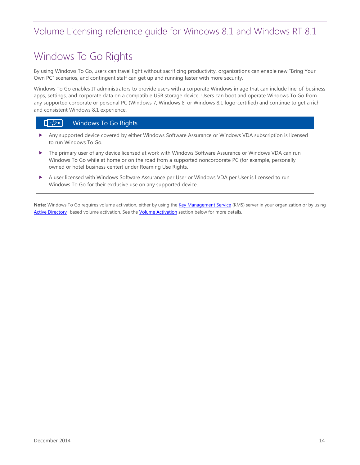# <span id="page-13-0"></span>Windows To Go Rights

By using Windows To Go, users can travel light without sacrificing productivity, organizations can enable new "Bring Your Own PC" scenarios, and contingent staff can get up and running faster with more security.

Windows To Go enables IT administrators to provide users with a corporate Windows image that can include line-of-business apps, settings, and corporate data on a compatible USB storage device. Users can boot and operate Windows To Go from any supported corporate or personal PC (Windows 7, Windows 8, or Windows 8.1 logo-certified) and continue to get a rich and consistent Windows 8.1 experience.

#### $\Box \rightarrowtail$ Windows To Go Rights

- Any supported device covered by either Windows Software Assurance or Windows VDA subscription is licensed to run Windows To Go.
- The primary user of any device licensed at work with Windows Software Assurance or Windows VDA can run Windows To Go while at home or on the road from a supported noncorporate PC (for example, personally owned or hotel business center) under Roaming Use Rights.
- A user licensed with Windows Software Assurance per User or Windows VDA per User is licensed to run Windows To Go for their exclusive use on any supported device.

Note: Windows To Go requires volume activation, either by using the [Key Management Service](http://www.technet.com/volumeactivation) (KMS) server in your organization or by using [Active Directory](http://technet.microsoft.com/en-us/library/hh852637.aspx)-based volume activation. See the **Volume Activation** section below for more details.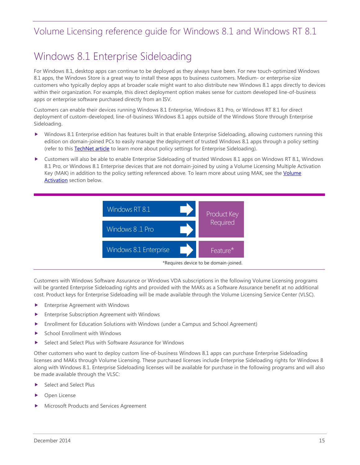# <span id="page-14-0"></span>Windows 8.1 Enterprise Sideloading

For Windows 8.1, desktop apps can continue to be deployed as they always have been. For new touch-optimized Windows 8.1 apps, the Windows Store is a great way to install these apps to business customers. Medium- or enterprise-size customers who typically deploy apps at broader scale might want to also distribute new Windows 8.1 apps directly to devices within their organization. For example, this direct deployment option makes sense for custom developed line-of-business apps or enterprise software purchased directly from an ISV.

Customers can enable their devices running Windows 8.1 Enterprise, Windows 8.1 Pro, or Windows RT 8.1 for direct deployment of custom-developed, line-of-business Windows 8.1 apps outside of the Windows Store through Enterprise Sideloading.

- Windows 8.1 Enterprise edition has features built in that enable Enterprise Sideloading, allowing customers running this edition on domain-joined PCs to easily manage the deployment of trusted Windows 8.1 apps through a policy setting (refer to this **TechNet article** to learn more about policy settings for Enterprise Sideloading).
- Customers will also be able to enable Enterprise Sideloading of trusted Windows 8.1 apps on Windows RT 8.1, Windows 8.1 Pro, or Windows 8.1 Enterprise devices that are not domain-joined by using a Volume Licensing Multiple Activation Key (MAK) in addition to the policy setting referenced above. To learn more about using MAK, see the Volume [Activation](#page-16-0) section below.



Customers with Windows Software Assurance or Windows VDA subscriptions in the following Volume Licensing programs will be granted Enterprise Sideloading rights and provided with the MAKs as a Software Assurance benefit at no additional cost. Product keys for Enterprise Sideloading will be made available through the Volume Licensing Service Center (VLSC).

- **Enterprise Agreement with Windows**
- **Enterprise Subscription Agreement with Windows**
- Enrollment for Education Solutions with Windows (under a Campus and School Agreement)
- School Enrollment with Windows
- Select and Select Plus with Software Assurance for Windows

Other customers who want to deploy custom line-of-business Windows 8.1 apps can purchase Enterprise Sideloading licenses and MAKs through Volume Licensing. These purchased licenses include Enterprise Sideloading rights for Windows 8 along with Windows 8.1. Enterprise Sideloading licenses will be available for purchase in the following programs and will also be made available through the VLSC:

- Select and Select Plus
- Open License
- Microsoft Products and Services Agreement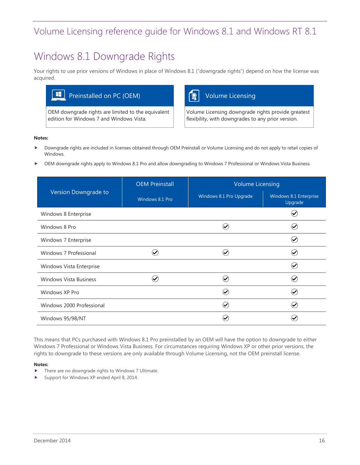# <span id="page-15-0"></span>Windows 8.1 Downgrade Rights

Your rights to use prior versions of Windows in place of Windows 8.1 ("downgrade rights") depend on how the license was acquired.



OEM downgrade rights are limited to the equivalent edition for Windows 7 and Windows Vista.

Volume Licensing downgrade rights provide greatest flexibility, with downgrades to any prior version.

#### **Notes:**

- Downgrade rights are included in licenses obtained through OEM Preinstall or Volume Licensing and do not apply to retail copies of Windows.
- OEM downgrade rights apply to Windows 8.1 Pro and allow downgrading to Windows 7 Professional or Windows Vista Business.

|                               | <b>OEM Preinstall</b> | <b>Volume Licensing</b> |                                   |  |
|-------------------------------|-----------------------|-------------------------|-----------------------------------|--|
| Version Downgrade to          | Windows 8.1 Pro       | Windows 8.1 Pro Upgrade | Windows 8.1 Enterprise<br>Upgrade |  |
| Windows 8 Enterprise          |                       |                         |                                   |  |
| Windows 8 Pro                 |                       |                         | ✅                                 |  |
| Windows 7 Enterprise          |                       |                         | $\checkmark$                      |  |
| Windows 7 Professional        |                       |                         | $\checkmark$                      |  |
| Windows Vista Enterprise      |                       |                         | ✅                                 |  |
| <b>Windows Vista Business</b> |                       |                         | $\checkmark$                      |  |
| Windows XP Pro                |                       |                         |                                   |  |
| Windows 2000 Professional     |                       | $\checkmark$            |                                   |  |
| Windows 95/98/NT              |                       |                         |                                   |  |

This means that PCs purchased with Windows 8.1 Pro preinstalled by an OEM will have the option to downgrade to either Windows 7 Professional or Windows Vista Business. For circumstances requiring Windows XP or other prior versions, the rights to downgrade to these versions are only available through Volume Licensing, not the OEM preinstall license.

#### **Notes:**

- **There are no downgrade rights to Windows 7 Ultimate.**
- Support fo[r Windows XP](http://www.microsoft.com/windows/enterprise) ended April 8, 2014.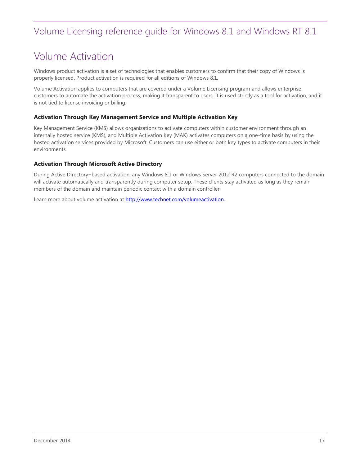# <span id="page-16-0"></span>Volume Activation

Windows product activation is a set of technologies that enables customers to confirm that their copy of Windows is properly licensed. Product activation is required for all editions of Windows 8.1.

Volume Activation applies to computers that are covered under a Volume Licensing program and allows enterprise customers to automate the activation process, making it transparent to users. It is used strictly as a tool for activation, and it is not tied to license invoicing or billing.

#### <span id="page-16-1"></span>**Activation Through Key Management Service and Multiple Activation Key**

Key Management Service (KMS) allows organizations to activate computers within customer environment through an internally hosted service (KMS), and Multiple Activation Key (MAK) activates computers on a one-time basis by using the hosted activation services provided by Microsoft. Customers can use either or both key types to activate computers in their environments.

#### <span id="page-16-2"></span>**Activation Through Microsoft Active Directory**

During Active Directory–based activation, any Windows 8.1 or Windows Server 2012 R2 computers connected to the domain will activate automatically and transparently during computer setup. These clients stay activated as long as they remain members of the domain and maintain periodic contact with a domain controller.

Learn more about volume activation at http://www.technet.com/volumeactivation.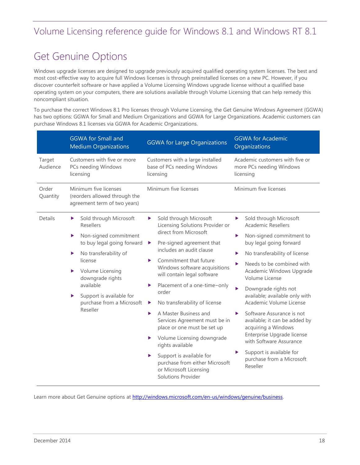# <span id="page-17-1"></span><span id="page-17-0"></span>Get Genuine Options

Windows upgrade licenses are designed to upgrade previously acquired qualified operating system licenses. The best and most cost-effective way to acquire full Windows licenses is through preinstalled licenses on a new PC. However, if you discover counterfeit software or have applied a Volume Licensing Windows upgrade license without a qualified base operating system on your computers, there are solutions available through Volume Licensing that can help remedy this noncompliant situation.

To purchase the correct Windows 8.1 Pro licenses through Volume Licensing, the Get Genuine Windows Agreement (GGWA) has two options: GGWA for Small and Medium Organizations and GGWA for Large Organizations. Academic customers can purchase Windows 8.1 licenses via GGWA for Academic Organizations.

|                    | <b>GGWA for Small and</b><br><b>Medium Organizations</b>                                                                                                                                                                                                                                 | <b>GGWA for Large Organizations</b>                                                                                                                                                                                                                                                                                                      | <b>GGWA for Academic</b><br>Organizations                                                                                                                                                                                                                                                                                  |  |  |
|--------------------|------------------------------------------------------------------------------------------------------------------------------------------------------------------------------------------------------------------------------------------------------------------------------------------|------------------------------------------------------------------------------------------------------------------------------------------------------------------------------------------------------------------------------------------------------------------------------------------------------------------------------------------|----------------------------------------------------------------------------------------------------------------------------------------------------------------------------------------------------------------------------------------------------------------------------------------------------------------------------|--|--|
| Target<br>Audience | Customers with five or more<br>PCs needing Windows<br>licensing                                                                                                                                                                                                                          | Customers with a large installed<br>base of PCs needing Windows<br>licensing                                                                                                                                                                                                                                                             | Academic customers with five or<br>more PCs needing Windows<br>licensing                                                                                                                                                                                                                                                   |  |  |
| Order<br>Quantity  | Minimum five licenses<br>(reorders allowed through the<br>agreement term of two years)                                                                                                                                                                                                   | Minimum five licenses                                                                                                                                                                                                                                                                                                                    | Minimum five licenses                                                                                                                                                                                                                                                                                                      |  |  |
| Details            | Sold through Microsoft<br>▶<br><b>Resellers</b><br>Non-signed commitment<br>▶<br>to buy legal going forward<br>No transferability of<br>▶<br>license<br>Volume Licensing<br>▶<br>downgrade rights<br>available<br>Support is available for<br>▶<br>purchase from a Microsoft<br>Reseller | Sold through Microsoft<br>▶<br>Licensing Solutions Provider or<br>direct from Microsoft<br>Pre-signed agreement that<br>▶<br>includes an audit clause<br>Commitment that future<br>▶<br>Windows software acquisitions<br>will contain legal software<br>Placement of a one-time-only<br>▶<br>order<br>No transferability of license<br>▶ | Sold through Microsoft<br>▶<br><b>Academic Resellers</b><br>Non-signed commitment to<br>▶<br>buy legal going forward<br>No transferability of license<br>▶<br>Needs to be combined with<br>Academic Windows Upgrade<br>Volume License<br>Downgrade rights not<br>available; available only with<br>Academic Volume License |  |  |
|                    |                                                                                                                                                                                                                                                                                          | A Master Business and<br>▶<br>Services Agreement must be in<br>place or one must be set up<br>Volume Licensing downgrade<br>▶<br>rights available<br>Support is available for<br>▶<br>purchase from either Microsoft<br>or Microsoft Licensing<br><b>Solutions Provider</b>                                                              | Software Assurance is not<br>▶<br>available; it can be added by<br>acquiring a Windows<br>Enterprise Upgrade license<br>with Software Assurance<br>Support is available for<br>purchase from a Microsoft<br>Reseller                                                                                                       |  |  |

Learn more about Get Genuine options at http://windows.microsoft.com/en-us/windows/genuine/business.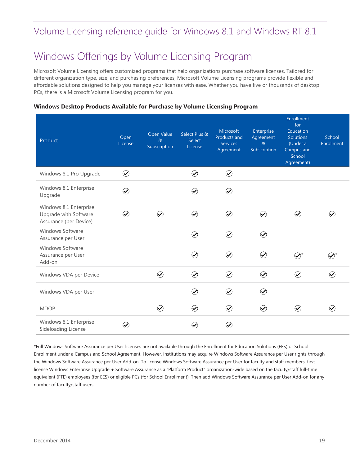# <span id="page-18-0"></span>Windows Offerings by Volume Licensing Program

Microsoft Volume Licensing offers customized programs that help organizations purchase software licenses. Tailored for different organization type, size, and purchasing preferences, Microsoft Volume Licensing programs provide flexible and affordable solutions designed to help you manage your licenses with ease. Whether you have five or thousands of desktop PCs, there is a Microsoft Volume Licensing program for you.

### <span id="page-18-1"></span>**Windows Desktop Products Available for Purchase by Volume Licensing Program**

| Product                                                                   | Open<br>License                          | Open Value<br>$\alpha$<br>Subscription | Select Plus &<br>Select<br>License       | Microsoft<br>Products and<br><b>Services</b><br>Agreement | Enterprise<br>Agreement<br>$\alpha$<br>Subscription | Enrollment<br>for<br>Education<br><b>Solutions</b><br>(Under a<br>Campus and<br>School<br>Agreement) | School<br><b>Enrollment</b>   |
|---------------------------------------------------------------------------|------------------------------------------|----------------------------------------|------------------------------------------|-----------------------------------------------------------|-----------------------------------------------------|------------------------------------------------------------------------------------------------------|-------------------------------|
| Windows 8.1 Pro Upgrade                                                   | $\bigcirc$                               |                                        | $\odot$                                  | $\odot$                                                   |                                                     |                                                                                                      |                               |
| Windows 8.1 Enterprise<br>Upgrade                                         | $\small \textcolor{blue}{\blacklozenge}$ |                                        | $(\blacktriangledown)$                   | $\bigcirc$                                                |                                                     |                                                                                                      |                               |
| Windows 8.1 Enterprise<br>Upgrade with Software<br>Assurance (per Device) | $\left(\!\checkmark\!\right)$            | $\boldsymbol{\omega}$                  | $\small \textcolor{blue}{\blacklozenge}$ | $\small \textcolor{blue}{\oslash}$                        | $\left(\!\!\left.\blacklozenge\!\!\right)\right.$   | $(\blacktriangledown)$                                                                               |                               |
| Windows Software<br>Assurance per User                                    |                                          |                                        | $\odot$                                  | $\bigcirc$                                                | $\bigcirc$                                          |                                                                                                      |                               |
| Windows Software<br>Assurance per User<br>Add-on                          |                                          |                                        | $(\blacktriangleright)$                  | $\bigcirc$                                                | $(\blacktriangleright)$                             | $\bigotimes^{\star}$                                                                                 |                               |
| Windows VDA per Device                                                    |                                          | $\small \textcolor{blue}{\oslash}$     | $\odot$                                  | $\bigcirc$                                                | $\odot$                                             | $\odot$                                                                                              | $\small \bf \bm{\varnothing}$ |
| Windows VDA per User                                                      |                                          |                                        | $\small \textcolor{blue}{\blacklozenge}$ | $\bigcirc$                                                | $\odot$                                             |                                                                                                      |                               |
| <b>MDOP</b>                                                               |                                          | $\odot$                                | $\odot$                                  | $\bigcirc$                                                | $\odot$                                             | $\odot$                                                                                              | $\odot$                       |
| Windows 8.1 Enterprise<br>Sideloading License                             | $\blacktriangledown$                     |                                        |                                          | $\bigcirc$                                                |                                                     |                                                                                                      |                               |

\*Full Windows Software Assurance per User licenses are not available through the Enrollment for Education Solutions (EES) or School Enrollment under a Campus and School Agreement. However, institutions may acquire Windows Software Assurance per User rights through the Windows Software Assurance per User Add-on. To license Windows Software Assurance per User for faculty and staff members, first license Windows Enterprise Upgrade + Software Assurance as a "Platform Product" organization-wide based on the faculty/staff full-time equivalent (FTE) employees (for EES) or eligible PCs (for School Enrollment). Then add Windows Software Assurance per User Add-on for any number of faculty/staff users.